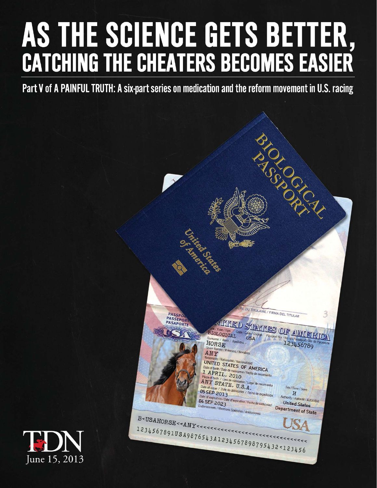## AS THE SCIENCE GETS BETTER, **CATCHING THE CHEATERS BECOMES EASIER**

Part V of A PAINFUL TRUTH: A six-part series on medication and the reform movement in U.S. racing



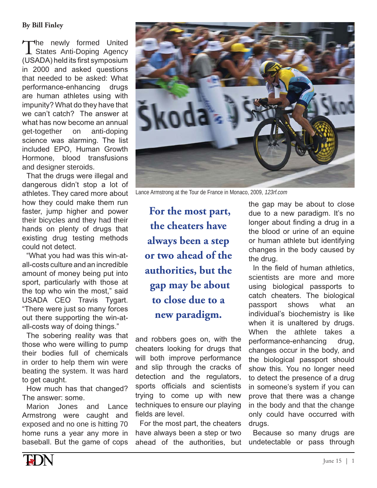## **By Bill Finley**

The newly formed United States Anti-Doping Agency (USADA) held its first symposium in 2000 and asked questions that needed to be asked: What performance-enhancing druas are human athletes using with impunity? What do they have that we can't catch? The answer at what has now become an annual get-together on anti-doping science was alarming. The list included EPO. Human Growth Hormone. blood transfusions and designer steroids.

That the drugs were illegal and dangerous didn't stop a lot of athletes. They cared more about how they could make them run faster, jump higher and power their bicycles and they had their hands on plenty of drugs that existing drug testing methods could not detect.

"What you had was this win-atall-costs culture and an incredible amount of money being put into sport, particularly with those at the top who win the most," said USADA CEO Travis Tygart. "There were just so many forces out there supporting the win-atall-costs way of doing things."

The sobering reality was that those who were willing to pump their bodies full of chemicals in order to help them win were beating the system. It was hard to get caught.

How much has that changed? The answer: some.

Marion Jones Lance and Armstrong were caught and exposed and no one is hitting 70 home runs a year any more in baseball. But the game of cops



Lance Armstrong at the Tour de France in Monaco, 2009, 123rf.com

For the most part, the cheaters have always been a step or two ahead of the authorities, but the gap may be about to close due to a new paradigm.

and robbers goes on, with the cheaters looking for drugs that will both improve performance and slip through the cracks of detection and the regulators, sports officials and scientists trying to come up with new techniques to ensure our playing fields are level.

For the most part, the cheaters have always been a step or two ahead of the authorities. but the gap may be about to close due to a new paradigm. It's no longer about finding a drug in a the blood or urine of an equine or human athlete but identifying changes in the body caused by the drug.

In the field of human athletics, scientists are more and more using biological passports to catch cheaters. The biological shows what passport an individual's biochemistry is like when it is unaltered by drugs. When the athlete takes a performance-enhancing drua. changes occur in the body, and the biological passport should show this. You no longer need to detect the presence of a drug in someone's system if you can prove that there was a change in the body and that the change only could have occurred with drugs.

Because so many drugs are undetectable or pass through

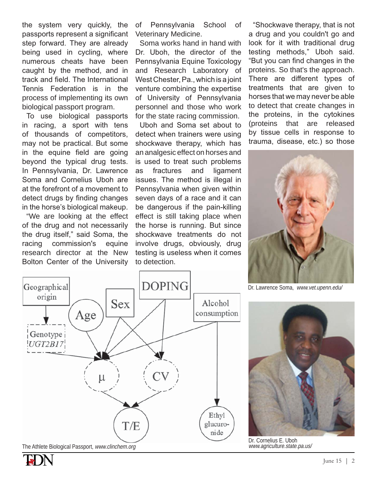the system very quickly, the passports represent a significant step forward. They are already being used in cycling, where numerous cheats have been caught by the method, and in track and field. The International Tennis Federation is in the process of implementing its own biological passport program.

To use biological passports in racing, a sport with tens of thousands of competitors, may not be practical. But some in the equine field are going beyond the typical drug tests. In Pennsylvania, Dr. Lawrence Soma and Cornelius Uboh are at the forefront of a movement to detect drugs by finding changes in the horse's biological makeup.

"We are looking at the effect of the drug and not necessarily the drug itself," said Soma, the racing commission's equine research director at the New Bolton Center of the University of Pennsylvania School of Veterinary Medicine.

Soma works hand in hand with Dr. Uboh, the director of the Pennsylvania Equine Toxicology and Research Laboratory of West Chester, Pa., which is a joint venture combining the expertise of University of Pennsylvania personnel and those who work for the state racing commission.

Uboh and Soma set about to detect when trainers were using shockwave therapy, which has an analgesic effect on horses and is used to treat such problems as fractures and ligament issues. The method is illegal in Pennsylvania when given within seven days of a race and it can be dangerous if the pain-killing effect is still taking place when the horse is running. But since shockwave treatments do not involve drugs, obviously, drug testing is useless when it comes to detection.

"Shockwave therapy, that is not a drug and you couldn't go and look for it with traditional drug testing methods," Uboh said. "But you can find changes in the proteins. So that's the approach. There are different types of treatments that are given to horses that we may never be able to detect that create changes in the proteins, in the cytokines (proteins that are released by tissue cells in response to trauma, disease, etc.) so those



Dr. Lawrence Soma, www.vet.upenn.edu/



The Athlete Biological Passport, www.clinchem.org



Dr. Cornelius E. Uboh www.agriculture.state.pa.us/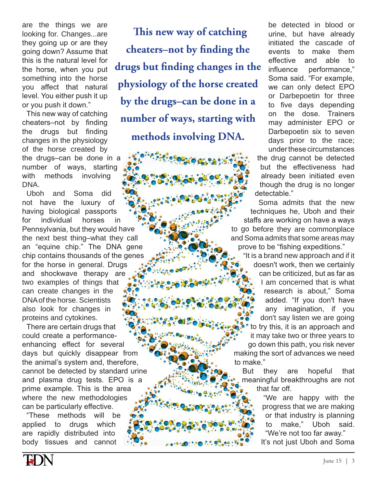are the things we are looking for. Changes...are they going up or are they going down? Assume that this is the natural level for the horse, when you put something into the horse you affect that natural level. You either push it up or you push it down."

This new way of catching cheaters-not by finding the drugs but finding changes in the physiology of the horse created by the drugs–can be done in a number of ways, starting with methods involving DNA.

Uboh and Soma did not have the luxury of having biological passports for individual horses Pennsylvania, but they would have the next best thing–what they call an "equine chip." The DNA gene chip contains thousands of the genes for the horse in general. Drugs and shockwave therapy are two examples of things that can create changes in the DNA of the horse. Scientists also look for changes in proteins and cytokines. in lA gene<br>e genes<br>بینی

There are certain drugs that could create a performanceenhancing effect for several days but quickly disappear from enhancing effect for several<br>days but quickly disappear from<br>the animal's system and, therefore, cannot be detected by standard urine<br>and plasma drug tests. EPO is a and plasma drug tests. EPO is a prime example. This is the area where the new methodologies can be particularly effective.

"These methods applied to drugs which are rapidly distributed into body tissues and cannot will he

**This new way of catching cheaters–not by finding the drugs but finding changes in the physiology of the horse created by the drugs–can be done in a number of ways, starting with methods involving DNA.**

be detected in blood or urine, but have already initiated the cascade of events to make them effective and able to influence performance," Soma said. "For example, we can only detect EPO or Darbepoetin for three to five days depending on the dose. Trainers may administer EPO or Darbepoetin six to seven days prior to the race; under these circumstances

the drug cannot be detected but the effectiveness had already been initiated even though the drug is no longer detectable."

Soma admits that the new S techniques he, Uboh and their staffs are working on have a ways to go before they are commonplace and Soma admits that some areas may Soma prove to be "fishing expeditions."

"It is a brand new approach and if it a doesn't work, then we certainly can be criticized, but as far as I am concerned that is what research is about," Soma added. "If you don't have any imagination, if you don't say listen we are going to try this, it is an approach and it may take two or three years to m go down this path, you risk never making the sort of advances we need to make."

they are hopeful that meaningful breakthroughs are not that far off. **But** 

"We are happy with the progress that we are making or that industry is planning to make," Uboh said. "We're not too far away." It's not just Uboh and Soma

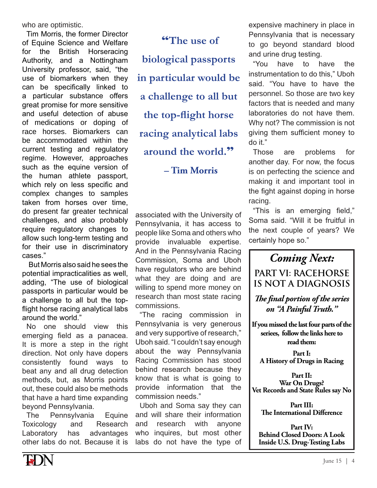who are optimistic.

Tim Morris, the former Director of Equine Science and Welfare for the British Horseracing Authority, and a Nottingham University professor, said, "the use of biomarkers when they can be specifically linked to a particular substance offers great promise for more sensitive and useful detection of abuse of medications or doping of race horses. Biomarkers can be accommodated within the current testing and regulatory regime. However, approaches such as the equine version of the human athlete passport, which rely on less specific and complex changes to samples taken from horses over time, do present far greater technical challenges, and also probably require regulatory changes to allow such long-term testing and for their use in discriminatory cases"

But Morris also said he sees the potential impracticalities as well, adding, "The use of biological passports in particular would be a challenge to all but the topflight horse racing analytical labs around the world."

No one should view this emerging field as a panacea. It is more a step in the right direction. Not only have dopers consistently found ways to beat any and all drug detection methods, but, as Morris points out, these could also be methods that have a hard time expanding beyond Pennsylvania.

**The** Pennsylvania Equine Toxicology and Research Laboratory has advantages other labs do not. Because it is

"The use of biological passports in particular would be a challenge to all but the top-flight horse racing analytical labs around the world." - Tim Morris

associated with the University of Pennsylvania, it has access to people like Soma and others who provide invaluable expertise. And in the Pennsylvania Racing Commission, Soma and Uboh have regulators who are behind what they are doing and are willing to spend more money on research than most state racing commissions.

"The racing commission in Pennsylvania is very generous and very supportive of research." Uboh said. "I couldn't say enough about the way Pennsylvania Racing Commission has stood behind research because they know that is what is going to provide information that the commission needs."

Uboh and Soma say they can and will share their information and research with anyone who inquires, but most other labs do not have the type of expensive machinery in place in Pennsylvania that is necessary to go beyond standard blood and urine drug testing.

"You have to have the instrumentation to do this." Uboh said. "You have to have the personnel. So those are two key factors that is needed and many laboratories do not have them. Why not? The commission is not giving them sufficient money to do it."

**Those** problems are for another day. For now, the focus is on perfecting the science and making it and important tool in the fight against doping in horse racing.

"This is an emerging field," Soma said. "Will it be fruitful in the next couple of years? We certainly hope so."

**Coming Next:** 

**PART VI: RACEHORSE IS NOT A DIAGNOSIS** 

The final portion of the series on "A Painful Truth."

If you missed the last four parts of the seriees, follow the links here to read them:

Part I: A History of Drugs in Racing

Part II: War On Drugs? Vet Records and State Rules say No

Part III: The International Difference

Part IV: **Behind Closed Doors: A Look Inside U.S. Drug-Testing Labs** 

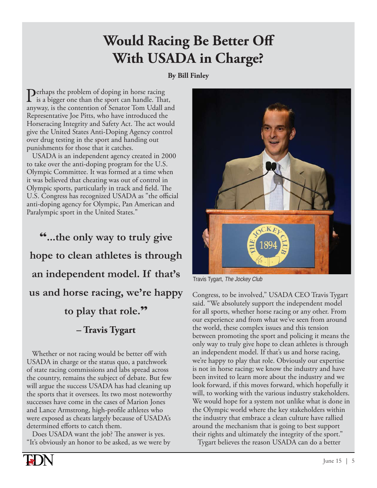## **Would Racing Be Better Off With USADA in Charge?**

**By Bill Finley** 

 Perhaps the problem of doping in horse racing is a bigger one than the sport can handle. That, anyway, is the contention of Senator Tom Udall and Representative Joe Pitts, who have introduced the Horseracing Integrity and Safety Act. The act would give the United States Anti-Doping Agency control over drug testing in the sport and handing out punishments for those that it catches.

 USADA is an independent agency created in 2000 to take over the anti-doping program for the U.S. Olympic Committee. It was formed at a time when it was believed that cheating was out of control in Olympic sports, particularly in track and field. The U.S. Congress has recognized USADA as "the official anti-doping agency for Olympic, Pan American and Paralympic sport in the United States."

"**...the only way to truly give hope to clean athletes is through an independent model. If that's us and horse racing, we're happy to play that role.**" **– Travis Tygart**

 Whether or not racing would be better off with USADA in charge or the status quo, a patchwork of state racing commissions and labs spread across the country, remains the subject of debate. But few will argue the success USADA has had cleaning up the sports that it oversees. Its two most noteworthy successes have come in the cases of Marion Jones and Lance Armstrong, high-profile athletes who were exposed as cheats largely because of USADA's determined efforts to catch them.

 Does USADA want the job? The answer is yes. "It's obviously an honor to be asked, as we were by



Travis Tygart, The Jockey Club

Congress, to be involved," USADA CEO Travis Tygart said. "We absolutely support the independent model for all sports, whether horse racing or any other. From our experience and from what we've seen from around the world, these complex issues and this tension between promoting the sport and policing it means the only way to truly give hope to clean athletes is through an independent model. If that's us and horse racing, we're happy to play that role. Obviously our expertise is not in horse racing; we know the industry and have been invited to learn more about the industry and we look forward, if this moves forward, which hopefully it will, to working with the various industry stakeholders. We would hope for a system not unlike what is done in the Olympic world where the key stakeholders within the industry that embrace a clean culture have rallied around the mechanism that is going to best support their rights and ultimately the integrity of the sport."

Tygart believes the reason USADA can do a better